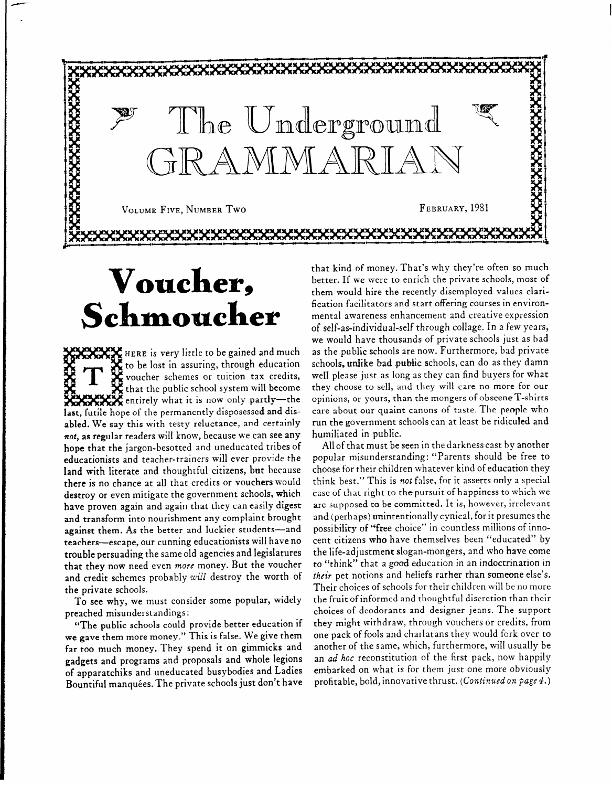

## **Voucher, Schmomcker**

**XXXXXXXX** entirely what it is now only partly**last,** futile hope of the permanently disposessed and disabled. We say this with testy reluctance, and certainly not, as regular readers will know, because we can see any hope that the jargon-besotted and uneducated tribes of educationists and teacher-trainers will ever provide the land with literate and thoughtful citizens, but because there is no chance at all that credits or vouchers would destroy or even mitigate the government schools, which have proven again and again that they can easily digest and transform into nourishment any complaint brought against them. As the better and luckier students-and teachers-escape, our cunning educationists will have no trouble persuading the same old agencies and legislatures that they now need even more money. But the voucher and credit schemes probably *will* destroy the worth of **HERE** is very little to be **gained and much**  to be lost in assuring, th<mark>rough educat</mark>ic voucher schemes or tuition tax credits, that the public school system will become the private schools.

To see why, we must consider some popular, widely preached misunderstandings:

"The public schools could provide better education if we gave them more money. " This is false. We give them far too much money. They spend it on gimmicks and gadgets and programs and proposals and whole legions of apparatchiks and uneducated busybodies and Ladies Bountiful manquées. The private schools just don't have that kind of money. That's why they're often so much better. If we were to enrich the private schools, most of them would hire the recently disemployed values clarification facilitators and start offering courses in environmental awareness enhancement and creative expression of self-as-individual-self through collage. In *a* few years, we would have thousands of private schools just as bad as the public schools are now. Furthermore, bad private schools, unlike bad public schools, can do as they damn welI please just as long as they can find buyers for what they choose to sell, and they will care no more for our opinions, or yours, than the mongers of obsceneT-shirts care about our quaint canons of taste. The people who run the government schools can at least be ridiculed and humiliated in public.

All of that must be seen in the darkness cast by another popular misunderstanding: "Parents should be free to choose for their children whatever kind of education they think best." This is not false, for it asserts only a special case of that right to the pursuit of happiness to which we are supposed to be committed. It is, however, irrelevant and (perhaps) unintentionally cynical, for it presumes the possibility of "free choice" in countless millions of innocent citizens who have themselves been "educated" by the life-adjustment slogan-mongers, and who have come to "think" that a good education in an indoctrination in their pet notions and beliefs rather than someone else's. Their choices of schools for their children will be no more the fruit of informed and thoughtful discretion than their choices of deodorants and designer jeans. The support they might withdraw, through vouchers or credits, from one pack of fools and charlatans they would fork over to another of the same, which, furthermore, will usually be an *ad* hoc reconstitution of the first pack, now happily embarked on what is for them just one more obviously profitable, bold, innovative thrust. *(Continued on page 4.)*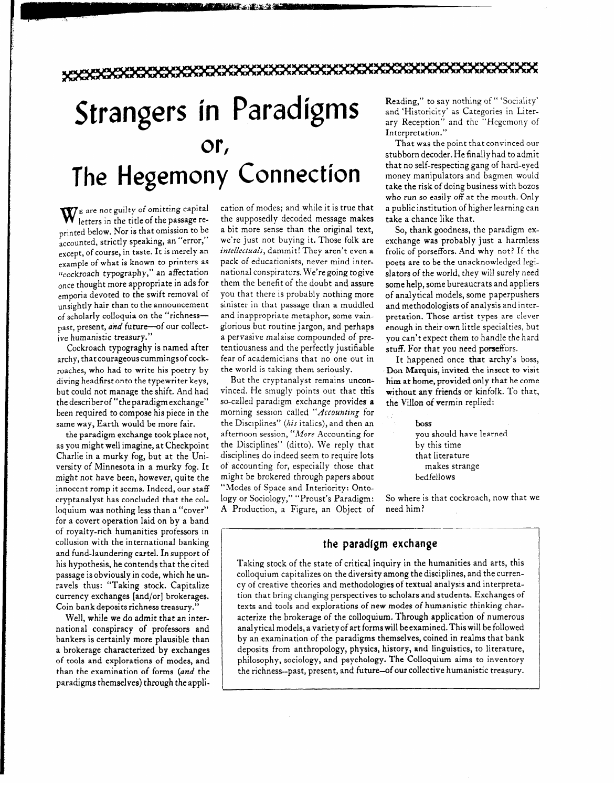## Strangers in Paradigms and 'Historicity' as Categories in Liter**or The Hegemony Connection**

W<sub>E</sub> are not guilty of omitting capital experience of the passage reprinted below. Nor is that omission to be accounted, strictly speaking, an "error," except, of course, in taste. It is merely an example of what is known to printers as ilcockroach typography," an affectation once thought more appropriate in ads for emporia devoted to the swift removal of unsightly hair than to the announcement of scholarly colloquia on the "richnesspast, present, and future-of our collective humanistic treasury."

Cockroach typograghy is named after archy, thatcourageouscummingsofcockroaches, who had to write his poetry by diving headfirst onto the typewriter keys, but could not manage the shift. And had thedescriberof "theparadigmexchange" been required to compose his piece in the same way, Earth would be more fair.

the paradigm exchange took place not, as you might well imagine, at Checkpoint Charlie in a murky fog, but at the University of Minnesota in a murky fog. It might not have been, however, quite the innocent romp it seems. Indeed, our staff cryptanalyst has concluded that the colloquium was nothing less than a "cover" for a covert operation laid on by a band of royalty-rich humanities professors in collusion with the international banking and fund-laundering cartel. In support of his hypothesis, he con tends that the cited passage is obviously in code, which he unravels thus: "Taking stock. Capitalize currency exchanges [and/or] brokerages, Coin bank deposits richness treasury."

Well, while we do admit that an international conspiracy of professors and bankers is certainly more plausible than a brokerage characterized by exchanges of tools and explorations of modes, and than the examination of forms *(and the*  paradigms themselves) through the application of modes; and while it is true that the supposedly decoded message makes a bit more sense than the original text, we're just not buying it. Those folk are *intellectuals,* dammit! They aren't even a pack of educationists, never mind international conspirators. We're going togive them the benefit of the doubt and assure you that there is probably nothing more sinister in that passage than a muddled and inappropriate metaphor, some vainglorious but routine jargon, and perhaps a pervasive malaise compounded of pretentiousness and the perfectly justifiable fear of academicians that no one out in the world is taking them seriously.

**HARACTER AND THE TERM DESCRIPTION OF THE TERM OF THE TERM OF THE TERM OF THE TERM OF THE TERM OF THE TERM OF T**<br>The condition of the condition of the condition of the condition of the condition of the condition of the con

But the cryptanalyst remains unconvinced. He smugly points out that this so-called paradigm exchange provides a morning session called *"Accounting* for the Disciplines" *(his* italics), and then an afternoon session, "More Accounting for the Disciplines" (ditto). We reply that disciplines do indeed seem to require lots of accounting for, especially those that might be brokered through papers about "Modes of Space and Interiority: Ontology or Sociology," "Proust's Paradigm: A Production, a Figure, an Object of

and 'Historicity' as Categories in Literary Reception" and the "Hegemony of

Interpretation."<br>That was the point that convinced our that no self-respecting gang of hard-eyed money manipulators and bagmen would take the risk of doing business with bozos who run so easily off at the mouth. Only a public institution of higher learning can take a chance like that.

So, thank goodness, the paradigm exexchange was probably just a harmless frolic of porseffors. And why not? If the poets are to be the unacknowledged Iegislators of the world, they will surely need some help, some bureaucrats and appliers of analytical models, some paperpushers and methodologists of analysis and interpretation. Those artist types are clever enough in their own little specialties, but you can't expect them to handle the hard stuff. For that you need porseffors.

It happened once that archy's boss, Don Marquis, invited the insect to visit him at home, provided only that he come without any friends or kinfolk. To that, the Villon of vermin replied:

> boss you should have learned by this time that Ii terature makes strange bedfellows

So where is that cockroach, now that we

### **the paradigm exchange**

Taking stock of the state of critical inquiry in the humanities and arts, this colloquium capitalizes on the diversity among the disciplines, and the currency of creative theories and methodologies of textual analysis and interpretation that bring changing perspectives to scholars and students. Exchanges of texts and tools and explorations of new modes of humanistic thinking characterize the brokerage of the colloquium. Through application of numerous analytical models, a variety of art forms will be examined. This will be followed by an examination of the paradigms themselves, coined in realms that bank deposits from anthropology, physics, history, and linguistics, to literature, philosophy, sociology, and psychology. The Colloquium aims to inventory the richness-past, present, and future-of our collective humanistic treasury.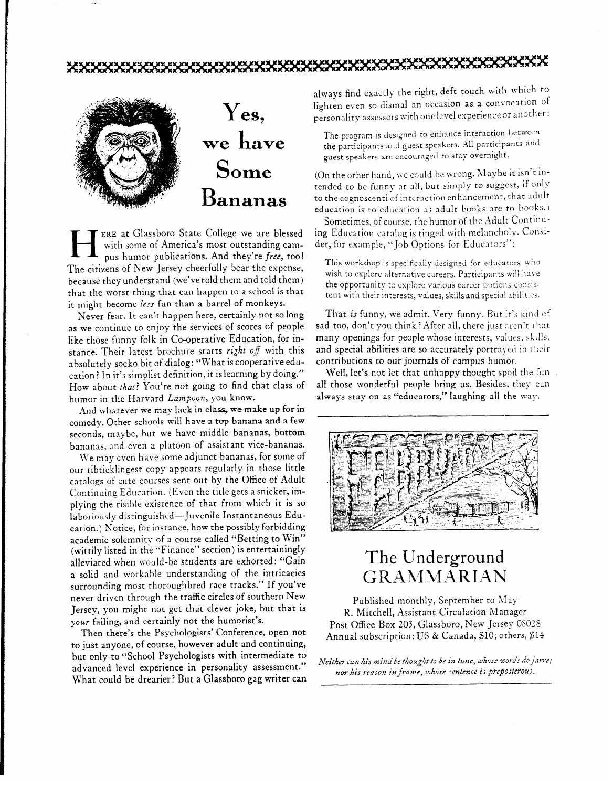

**HERE at Glassboro State College we are blessed**<br>with some of America's most outstanding cam-<br>pus humor publications. And they're free, too with some of America's most outstanding cam-The citizens of New Jersey cheerfully bear the expense, because they understand (we've told them and told them) that the worst thing that can happen to a school is that it might become *less* fun than a barrel of monkeys.

Never fear. It can't happen here, certainly not so Iong as we continue to enjoy the services of scores of people like those funny folk in Co-operative Education, for instance. Their latest brochure starts right off with this absolutely socko bit of dialog: "What is cooperative education? In it's simplist definition, it is learning by doing." How about that? You're not going to find that class of humor in the Harvard *Lampoon,* **you** know.

And whatever we may lack in class, we make up for in comedy. Other schools will have a top banana and a few seconds, maybe, but we have middle bananas, bottom bananas, and even a platoon of assistant vice-bananas.

We may even have some adjunct bananas, for some of our ribticklingest copy appears regularly in those little catalogs of cute courses sent out by the Office of Adult Continuing Education. (Even the title gets a snicker, implying the risible existence of that from which it is so laboriously distinguished-Juvenile Instantaneous Education.) Notice, for instance, how the possibly forbidding academic solemnity of a course called "Betting to Win" (wittily listed in the "Finance" section) is entertainingly alleviated when would-be students are exhorted: "Gain a solid and workable understanding of the intricacies surrounding most thoroughbred race tracks." If you've never driven through the traffic circles of southern New Jersey, you might not get that clever joke, but that is your failing, and certainly not the humorist's.

Then there's the Psychologists' Conference, open not to just anyone, of course, however adult and continuing, but only to "School Psychologists with intermediate to advanced level experience in personality assessment. What could be drearier? But a Glassboro gag writer can

always find exactly the right, defe touch with which the lighten even so dismal an occasion as a convocation of personality assessors with one level experience or another:

The program is designed to enhance interaction between the participants and guest speakers. All participants and guest speakers are encouraged to stay overnight.

(On the other hand, we could be wrong. Maybe it isn't intended to be funny at all, but simply to suggest, if only to the cognoscenti of interaction enhancement, that adult education is to education as adult books are to books.)

Sometimes, of course, the humor of the Adult Continuing Education catalog is tinged with melnncholv. Consider, for example, "Job Options for Educators":

This workshop is specifically designed for educators who wish to explore alternative careers. Participants will have the opportunity to explore various career options consistent with their interests, values, skills and special abilities.

That is funny, we admit. Very funny. But it's kind of sad too, don't you think? After all, there just aren't that many openings for people whose interests, values, skills. and special abilities are so accurately portrayed in their contributions to our journals of campus humor.

Well, let's not let that unhappy thought spoil the fun all those wonderful people bring us. Besides, they can always stay on as "educators," Iaughing all the way.



# The Underground<br>GRAMMARIAN

Published monthly, September to May<br>R. Mitchell, Assistant Circulation Manager Post Office Box 203, Glassboro, New Jersey 08028 Post Office Box 203, Glassboro, New Jersey OS028  $\sum_{i=1}^{n}$ 

*Neitker can his mind be tkougkt to be* **in** *tune, ztkose words do* jawe; *nor his reason in frame, whose sentence is preposterous.*